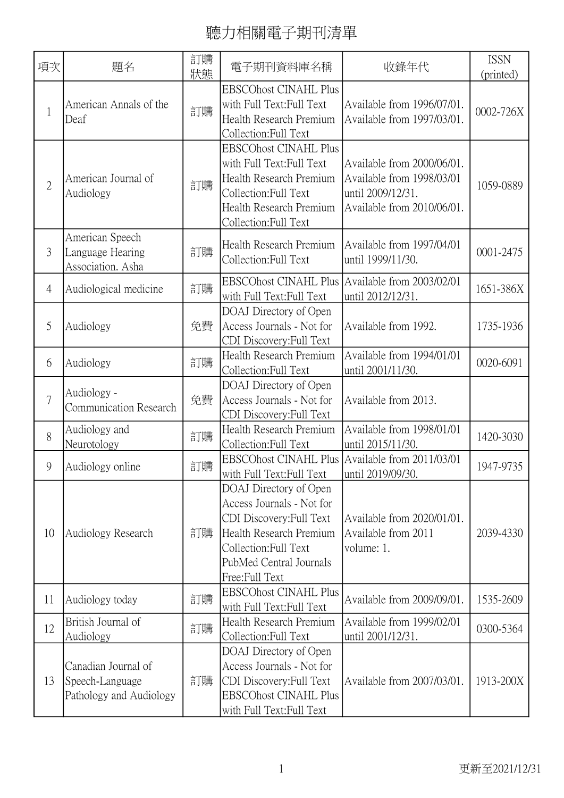| 項次             | 題名                                                                | 訂購<br>狀態 | 電子期刊資料庫名稱                                                                                                                                                                        | 收錄年代                                                                                                       | <b>ISSN</b><br>(printed) |
|----------------|-------------------------------------------------------------------|----------|----------------------------------------------------------------------------------------------------------------------------------------------------------------------------------|------------------------------------------------------------------------------------------------------------|--------------------------|
| $\mathbf{1}$   | American Annals of the<br>Deaf                                    | 訂購       | <b>EBSCOhost CINAHL Plus</b><br>with Full Text: Full Text<br>Health Research Premium<br>Collection:Full Text                                                                     | Available from 1996/07/01.<br>Available from 1997/03/01.                                                   | 0002-726X                |
| $\overline{2}$ | American Journal of<br>Audiology                                  | 訂購       | <b>EBSCOhost CINAHL Plus</b><br>with Full Text: Full Text<br>Health Research Premium<br>Collection: Full Text<br>Health Research Premium<br>Collection:Full Text                 | Available from 2000/06/01.<br>Available from 1998/03/01<br>until 2009/12/31.<br>Available from 2010/06/01. | 1059-0889                |
| 3              | American Speech<br>Language Hearing<br>Association. Asha          | 訂購       | Health Research Premium<br>Collection:Full Text                                                                                                                                  | Available from 1997/04/01<br>until 1999/11/30.                                                             | 0001-2475                |
| $\overline{4}$ | Audiological medicine                                             | 訂購       | EBSCOhost CINAHL Plus Available from 2003/02/01<br>with Full Text: Full Text                                                                                                     | until 2012/12/31.                                                                                          | 1651-386X                |
| 5              | Audiology                                                         | 免費       | DOAJ Directory of Open<br>Access Journals - Not for<br>CDI Discovery: Full Text                                                                                                  | Available from 1992.                                                                                       | 1735-1936                |
| 6              | Audiology                                                         | 訂購       | Health Research Premium<br>Collection: Full Text                                                                                                                                 | Available from 1994/01/01<br>until 2001/11/30.                                                             | 0020-6091                |
| $\overline{7}$ | Audiology -<br><b>Communication Research</b>                      | 免費       | DOAJ Directory of Open<br>Access Journals - Not for<br>CDI Discovery: Full Text                                                                                                  | Available from 2013.                                                                                       |                          |
| 8              | Audiology and<br>Neurotology                                      | 訂購       | Health Research Premium<br>Collection: Full Text                                                                                                                                 | Available from 1998/01/01<br>until 2015/11/30.                                                             | 1420-3030                |
| 9              | Audiology online                                                  | 訂購       | <b>EBSCOhost CINAHL Plus</b><br>with Full Text: Full Text                                                                                                                        | Available from 2011/03/01<br>until 2019/09/30.                                                             | 1947-9735                |
| 10             | Audiology Research                                                | 訂購       | DOAJ Directory of Open<br>Access Journals - Not for<br>CDI Discovery: Full Text<br>Health Research Premium<br>Collection: Full Text<br>PubMed Central Journals<br>Free:Full Text | Available from 2020/01/01.<br>Available from 2011<br>volume: 1.                                            | 2039-4330                |
| 11             | Audiology today                                                   | 訂購       | <b>EBSCOhost CINAHL Plus</b><br>with Full Text: Full Text                                                                                                                        | Available from 2009/09/01.                                                                                 | 1535-2609                |
| 12             | British Journal of<br>Audiology                                   | 訂購       | Health Research Premium<br>Collection: Full Text                                                                                                                                 | Available from 1999/02/01<br>until 2001/12/31.                                                             | 0300-5364                |
| 13             | Canadian Journal of<br>Speech-Language<br>Pathology and Audiology | 訂購       | DOAJ Directory of Open<br>Access Journals - Not for<br>CDI Discovery: Full Text<br><b>EBSCOhost CINAHL Plus</b><br>with Full Text: Full Text                                     | Available from 2007/03/01.                                                                                 | 1913-200X                |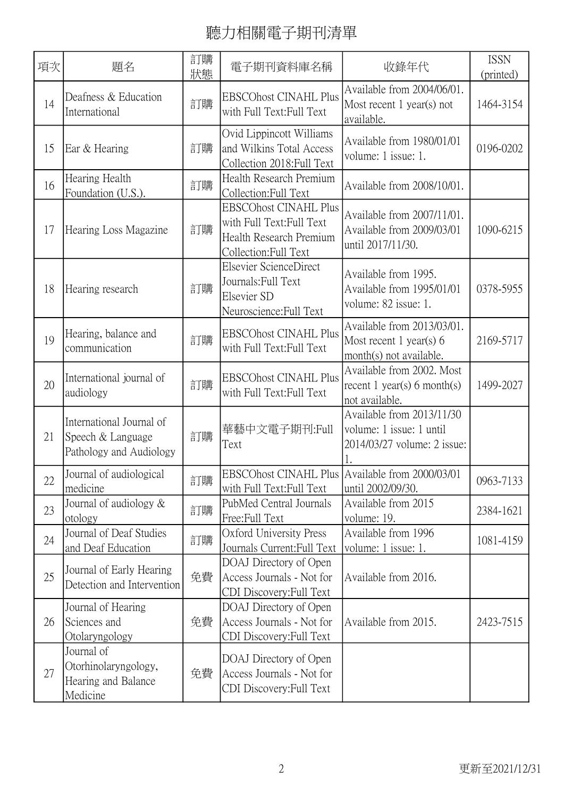| 項次 | 題名                                                                       | 訂購<br>狀態 | 電子期刊資料庫名稱                                                                                                    | 收錄年代                                                                                 | <b>ISSN</b><br>(printed) |
|----|--------------------------------------------------------------------------|----------|--------------------------------------------------------------------------------------------------------------|--------------------------------------------------------------------------------------|--------------------------|
| 14 | Deafness & Education<br>International                                    | 訂購       | <b>EBSCOhost CINAHL Plus</b><br>with Full Text: Full Text                                                    | Available from 2004/06/01.<br>Most recent $1$ year(s) not<br>available.              | 1464-3154                |
| 15 | Ear & Hearing                                                            | 訂購       | Ovid Lippincott Williams<br>and Wilkins Total Access<br>Collection 2018: Full Text                           | Available from 1980/01/01<br>volume: 1 issue: 1.                                     | 0196-0202                |
| 16 | Hearing Health<br>Foundation (U.S.).                                     | 訂購       | Health Research Premium<br>Collection: Full Text                                                             | Available from 2008/10/01.                                                           |                          |
| 17 | Hearing Loss Magazine                                                    | 訂購       | <b>EBSCOhost CINAHL Plus</b><br>with Full Text: Full Text<br>Health Research Premium<br>Collection:Full Text | Available from 2007/11/01.<br>Available from 2009/03/01<br>until 2017/11/30.         | 1090-6215                |
| 18 | Hearing research                                                         | 訂購       | Elsevier ScienceDirect<br>Journals: Full Text<br>Elsevier SD<br>Neuroscience: Full Text                      | Available from 1995.<br>Available from 1995/01/01<br>volume: 82 issue: 1.            | 0378-5955                |
| 19 | Hearing, balance and<br>communication                                    | 訂購       | <b>EBSCOhost CINAHL Plus</b><br>with Full Text: Full Text                                                    | Available from 2013/03/01.<br>Most recent $1$ year(s) 6<br>month(s) not available.   | 2169-5717                |
| 20 | International journal of<br>audiology                                    | 訂購       | <b>EBSCOhost CINAHL Plus</b><br>with Full Text: Full Text                                                    | Available from 2002. Most<br>recent 1 year(s) 6 month(s)<br>not available.           | 1499-2027                |
| 21 | International Journal of<br>Speech & Language<br>Pathology and Audiology | 訂購       | 華藝中文電子期刊:Full<br>Text                                                                                        | Available from 2013/11/30<br>volume: 1 issue: 1 until<br>2014/03/27 volume: 2 issue: |                          |
| 22 | Journal of audiological<br>medicine                                      | 訂購       | EBSCOhost CINAHL Plus   Available from 2000/03/01<br>with Full Text: Full Text                               | until 2002/09/30.                                                                    | 0963-7133                |
| 23 | Journal of audiology $\&$<br>otology                                     | 訂購       | PubMed Central Journals<br>Free:Full Text                                                                    | Available from 2015<br>volume: 19.                                                   | 2384-1621                |
| 24 | Journal of Deaf Studies<br>and Deaf Education                            | 訂購       | Oxford University Press<br>Journals Current: Full Text                                                       | Available from 1996<br>volume: 1 issue: 1.                                           | 1081-4159                |
| 25 | Journal of Early Hearing<br>Detection and Intervention                   | 免費       | DOAJ Directory of Open<br>Access Journals - Not for<br>CDI Discovery: Full Text                              | Available from 2016.                                                                 |                          |
| 26 | Journal of Hearing<br>Sciences and<br>Otolaryngology                     | 免費       | DOAJ Directory of Open<br>Access Journals - Not for<br>CDI Discovery: Full Text                              | Available from 2015.                                                                 | 2423-7515                |
| 27 | Journal of<br>Otorhinolaryngology,<br>Hearing and Balance<br>Medicine    | 免費       | DOAJ Directory of Open<br>Access Journals - Not for<br>CDI Discovery: Full Text                              |                                                                                      |                          |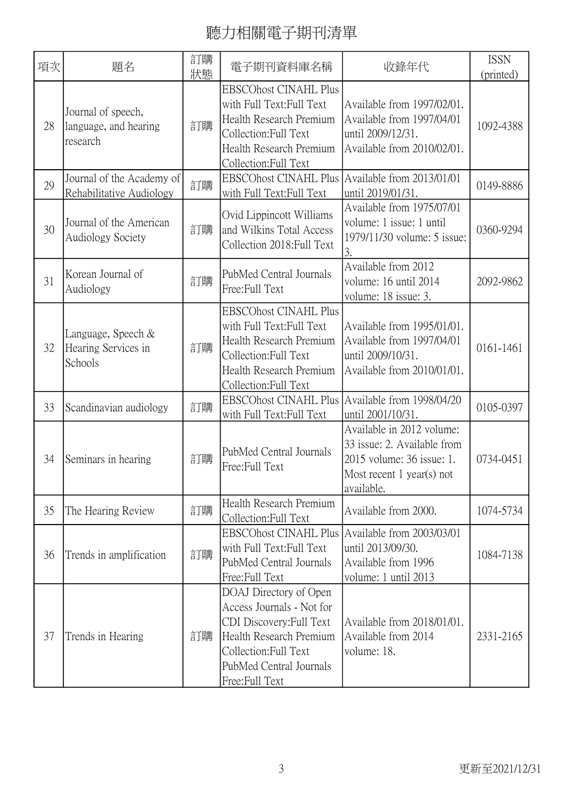| 項次 | 題名                                                      | 訂購<br>狀態 | 電子期刊資料庫名稱                                                                                                                                                                        | 收錄年代                                                                                                                             | <b>ISSN</b><br>(printed) |
|----|---------------------------------------------------------|----------|----------------------------------------------------------------------------------------------------------------------------------------------------------------------------------|----------------------------------------------------------------------------------------------------------------------------------|--------------------------|
| 28 | Journal of speech,<br>language, and hearing<br>research | 訂購       | <b>EBSCOhost CINAHL Plus</b><br>with Full Text:Full Text<br>Health Research Premium<br>Collection: Full Text<br>Health Research Premium<br>Collection:Full Text                  | Available from 1997/02/01.<br>Available from 1997/04/01<br>until 2009/12/31.<br>Available from 2010/02/01.                       | 1092-4388                |
| 29 | Journal of the Academy of<br>Rehabilitative Audiology   | 訂購       | <b>EBSCOhost CINAHL Plus</b><br>with Full Text: Full Text                                                                                                                        | Available from 2013/01/01<br>until 2019/01/31.                                                                                   | 0149-8886                |
| 30 | Journal of the American<br><b>Audiology Society</b>     | 訂購       | Ovid Lippincott Williams<br>and Wilkins Total Access<br>Collection 2018: Full Text                                                                                               | Available from 1975/07/01<br>volume: 1 issue: 1 until<br>1979/11/30 volume: 5 issue:<br>3.                                       | 0360-9294                |
| 31 | Korean Journal of<br>Audiology                          | 訂購       | PubMed Central Journals<br>Free:Full Text                                                                                                                                        | Available from 2012<br>volume: 16 until 2014<br>volume: 18 issue: 3.                                                             | 2092-9862                |
| 32 | Language, Speech &<br>Hearing Services in<br>Schools    | 訂購       | <b>EBSCOhost CINAHL Plus</b><br>with Full Text: Full Text<br>Health Research Premium<br>Collection: Full Text<br>Health Research Premium<br>Collection:Full Text                 | Available from 1995/01/01.<br>Available from 1997/04/01<br>until 2009/10/31.<br>Available from 2010/01/01.                       | 0161-1461                |
| 33 | Scandinavian audiology                                  | 訂購       | EBSCOhost CINAHL Plus Available from 1998/04/20<br>with Full Text: Full Text                                                                                                     | until 2001/10/31.                                                                                                                | 0105-0397                |
| 34 | Seminars in hearing                                     | 訂購       | PubMed Central Journals<br>Free:Full Text                                                                                                                                        | Available in 2012 volume:<br>33 issue: 2. Available from<br>2015 volume: 36 issue: 1.<br>Most recent 1 year(s) not<br>available. | 0734-0451                |
| 35 | The Hearing Review                                      | 訂購       | Health Research Premium<br>Collection: Full Text                                                                                                                                 | Available from 2000.                                                                                                             | 1074-5734                |
| 36 | Trends in amplification                                 | 訂購       | <b>EBSCOhost CINAHL Plus</b><br>with Full Text: Full Text<br>PubMed Central Journals<br>Free:Full Text                                                                           | Available from 2003/03/01<br>until 2013/09/30.<br>Available from 1996<br>volume: 1 until 2013                                    | 1084-7138                |
| 37 | Trends in Hearing                                       | 訂購       | DOAJ Directory of Open<br>Access Journals - Not for<br>CDI Discovery: Full Text<br>Health Research Premium<br>Collection: Full Text<br>PubMed Central Journals<br>Free:Full Text | Available from 2018/01/01.<br>Available from 2014<br>volume: 18.                                                                 | 2331-2165                |